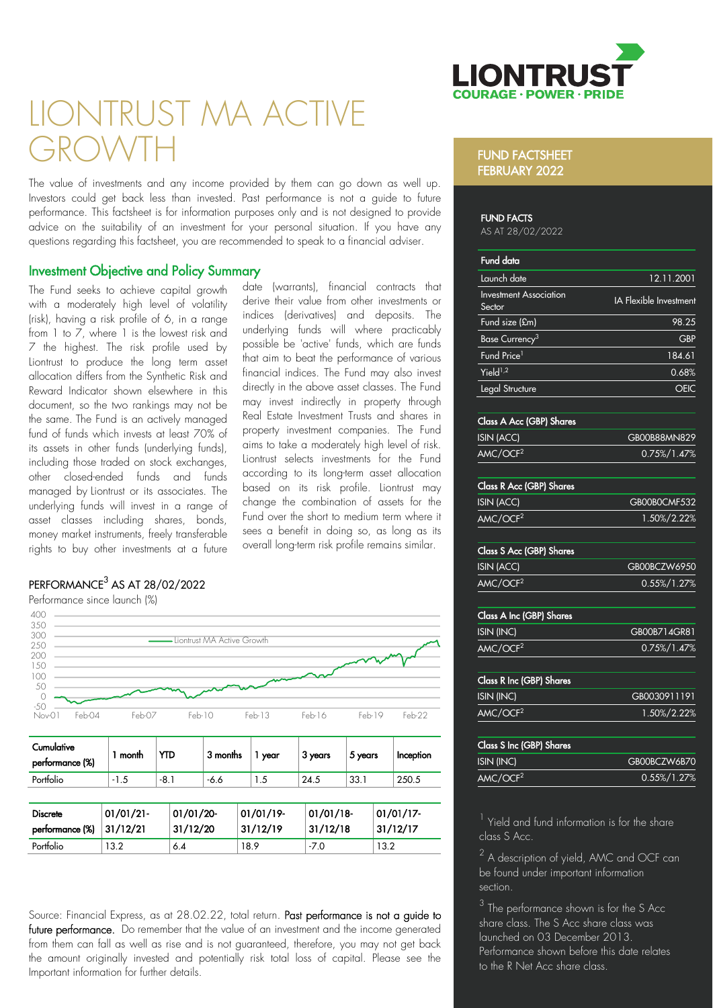

# LIONTRUST MA ACTIVE GROWTH

The value of investments and any income provided by them can go down as well up. Investors could get back less than invested. Past performance is not a guide to future performance. This factsheet is for information purposes only and is not designed to provide advice on the suitability of an investment for your personal situation. If you have any questions regarding this factsheet, you are recommended to speak to a financial adviser.

> date (warrants), financial contracts that derive their value from other investments or indices (derivatives) and deposits. The underlying funds will where practicably possible be 'active' funds, which are funds that aim to beat the performance of various financial indices. The Fund may also invest directly in the above asset classes. The Fund may invest indirectly in property through Real Estate Investment Trusts and shares in property investment companies. The Fund aims to take a moderately high level of risk. Liontrust selects investments for the Fund according to its long-term asset allocation based on its risk profile. Liontrust may change the combination of assets for the Fund over the short to medium term where it sees a benefit in doing so, as long as its overall long-term risk profile remains similar.

# Investment Objective and Policy Summary

The Fund seeks to achieve capital growth with a moderately high level of volatility (risk), having a risk profile of 6, in a range from  $1$  to  $\overline{7}$ , where  $1$  is the lowest risk and 7 the highest. The risk profile used by Liontrust to produce the long term asset allocation differs from the Synthetic Risk and Reward Indicator shown elsewhere in this document, so the two rankings may not be the same. The Fund is an actively managed fund of funds which invests at least 70% of its assets in other funds (underlying funds), including those traded on stock exchanges, other closed-ended funds and funds managed by Liontrust or its associates. The underlying funds will invest in a range of asset classes including shares, bonds, money market instruments, freely transferable rights to buy other investments at a future

# $\mathsf{PERFORMANCE}^3$  AS AT 28/02/2022

Performance since launch (%)



| Cumulative<br>performance (%)      | 1 month              | YTD                   | 3 months | year                  | 3 years              | 5 years | Inception             |
|------------------------------------|----------------------|-----------------------|----------|-----------------------|----------------------|---------|-----------------------|
| Portfolio                          | $-1.5$               | $-8.1$                | $-6.6$   | 1.5                   | 24.5                 | 33.1    | 250.5                 |
|                                    |                      |                       |          |                       |                      |         |                       |
| <b>Discrete</b><br>performance (%) | 01/01/21<br>31/12/21 | 01/01/20-<br>31/12/20 |          | 01/01/19-<br>31/12/19 | 01/01/18<br>31/12/18 |         | 01/01/17-<br>31/12/17 |
| Portfolio                          | 13.2                 | 6.4                   |          | 18.9                  | $-7.0$               |         | 13.2                  |

Source: Financial Express, as at 28.02.22, total return. Past performance is not a guide to future performance. Do remember that the value of an investment and the income generated from them can fall as well as rise and is not guaranteed, therefore, you may not get back the amount originally invested and potentially risk total loss of capital. Please see the Important information for further details.

### FUND FACTSHEET FEBRUARY 2022

#### **FUND FACTS**

AS AT 28/02/2022

| Fund data                               |                               |
|-----------------------------------------|-------------------------------|
| Launch date                             | 12.11.2001                    |
| <b>Investment Association</b><br>Sector | <b>IA Flexible Investment</b> |
| Fund size (£m)                          | 98.25                         |
| Base Currency <sup>3</sup>              | <b>GBP</b>                    |
| Fund Price <sup>1</sup>                 | 184.61                        |
| Yield <sup>1,2</sup>                    | 0.68%                         |
| Legal Structure                         |                               |
|                                         |                               |

#### Class A Acc (GBP) Shares

| ISIN (ACC)           | GB00B88MN829    |
|----------------------|-----------------|
| AMC/OCF <sup>2</sup> | $0.75\%/1.47\%$ |

# Class R Acc (GBP) Shares

| ISIN (ACC)           | GB00B0CMF532 |
|----------------------|--------------|
| AMC/OCF <sup>2</sup> | 1.50%/2.22%  |

#### Class S Acc (GBP) Shares

| ISIN (ACC)           | GB00BCZW6950    |
|----------------------|-----------------|
| AMC/OCF <sup>2</sup> | $0.55\%/1.27\%$ |

# Class A Inc (GBP) Shares ISIN (INC) GB00B714GR81

| AMC/OCF <sup>2</sup>            | $0.75\%/1.47\%$ |
|---------------------------------|-----------------|
|                                 |                 |
| <b>Class R Inc (GBP) Shares</b> |                 |
| <b>ISIN (INC)</b>               | GB0030911191    |

AMC/OCF<sup>2</sup> 1.50%/2.22%

| <b>Class S Inc (GBP) Shares</b> |                 |
|---------------------------------|-----------------|
| ISIN (INC)                      | GB00BCZW6B70    |
| AMC/OCF <sup>2</sup>            | $0.55\%/1.27\%$ |

<sup>1</sup> Yield and fund information is for the share class S Acc.

 $^2$  A description of yield, AMC and OCF can be found under important information section.

 $3$  The performance shown is for the S Acc share class. The S Acc share class was launched on 03 December 2013. Performance shown before this date relates to the R Net Acc share class.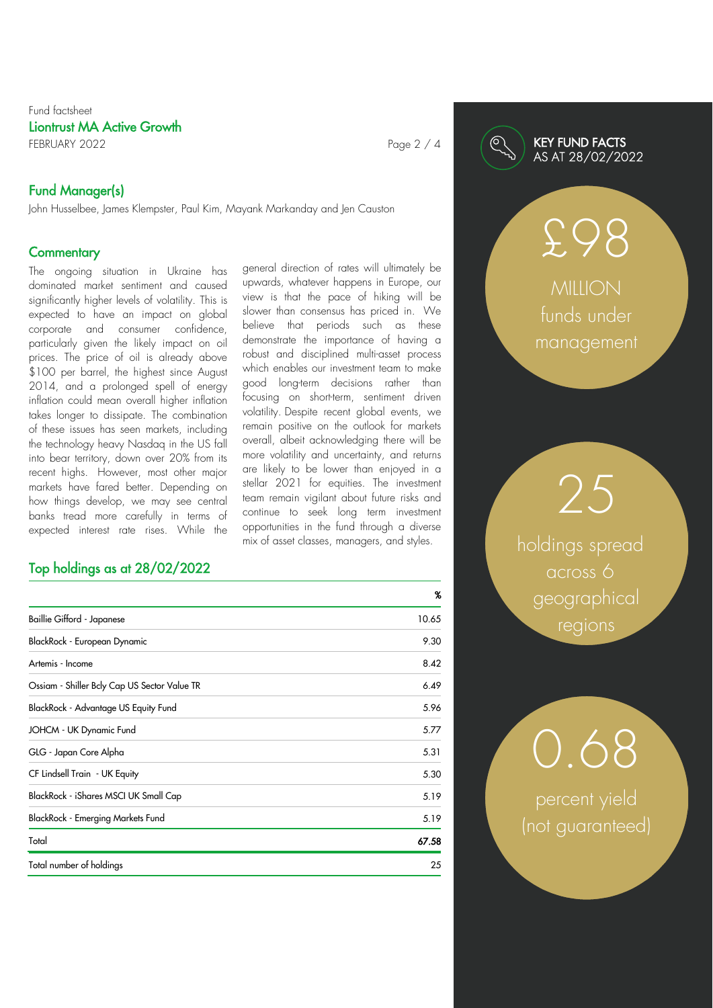# Fund factsheet Liontrust MA Active Growth FEBRUARY 2022 **Page 2 / 4**

# Fund Manager(s)

John Husselbee, James Klempster, Paul Kim, Mayank Markanday and Jen Causton

# **Commentary**

The ongoing situation in Ukraine has dominated market sentiment and caused significantly higher levels of volatility. This is expected to have an impact on global corporate and consumer confidence, particularly given the likely impact on oil prices. The price of oil is already above \$100 per barrel, the highest since August 2014, and a prolonged spell of energy inflation could mean overall higher inflation takes longer to dissipate. The combination of these issues has seen markets, including the technology heavy Nasdaq in the US fall into bear territory, down over 20% from its recent highs. However, most other major markets have fared better. Depending on how things develop, we may see central banks tread more carefully in terms of expected interest rate rises. While the

# Top holdings as at 28/02/2022

general direction of rates will ultimately be upwards, whatever happens in Europe, our view is that the pace of hiking will be slower than consensus has priced in. We believe that periods such as these demonstrate the importance of having a robust and disciplined multi-asset process which enables our investment team to make good long-term decisions rather than focusing on short-term, sentiment driven volatility. Despite recent global events, we remain positive on the outlook for markets overall, albeit acknowledging there will be more volatility and uncertainty, and returns are likely to be lower than enjoyed in a stellar 2021 for equities. The investment team remain vigilant about future risks and continue to seek long term investment opportunities in the fund through a diverse mix of asset classes, managers, and styles.

|                                              | %     |
|----------------------------------------------|-------|
| Baillie Gifford - Japanese                   | 10.65 |
| BlackRock - European Dynamic                 | 9.30  |
| Artemis - Income                             | 8.42  |
| Ossiam - Shiller Bely Cap US Sector Value TR | 6.49  |
| BlackRock - Advantage US Equity Fund         | 5.96  |
| JOHCM - UK Dynamic Fund                      | 5.77  |
| GLG - Japan Core Alpha                       | 5.31  |
| CF Lindsell Train - UK Equity                | 5.30  |
| BlackRock - iShares MSCI UK Small Cap        | 5.19  |
| BlackRock - Emerging Markets Fund            | 5.19  |
| Total                                        | 67.58 |
| Total number of holdings                     | 25    |

## KEY FUND FACTS AS AT 28/02/2022

**MILLION** funds under management

£98

holdings spread across 6 geographical regions

25

percent yield (not guaranteed)

0.68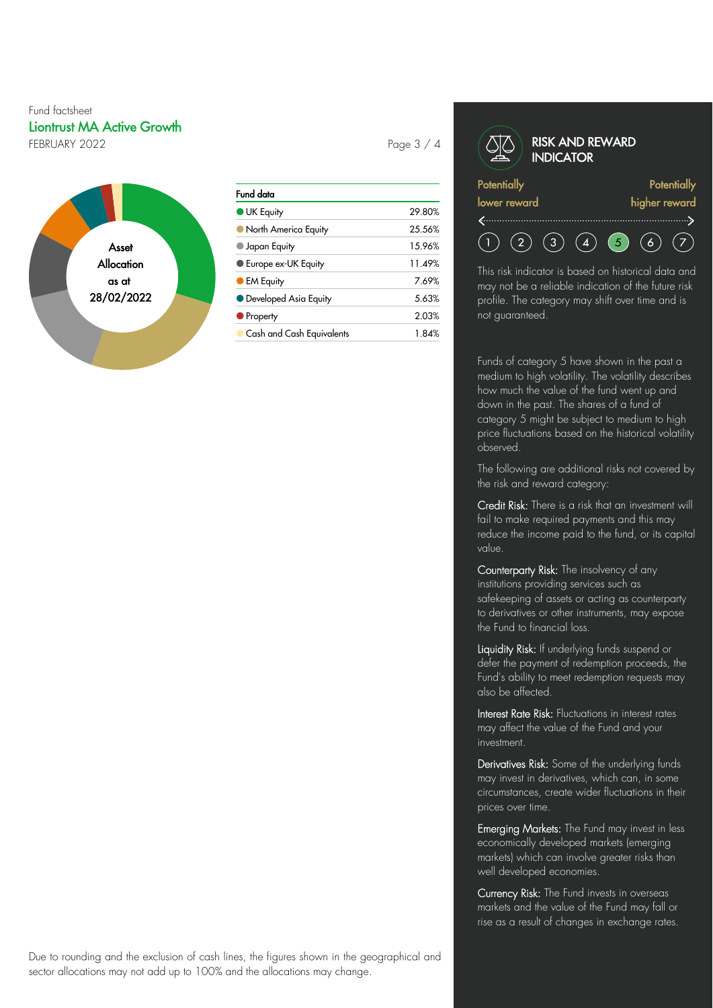# Fund factsheet Liontrust MA Active Growth FEBRUARY 2022 **Page 3 / 4**



| Fund data                  |        |
|----------------------------|--------|
| <b>UK Equity</b>           | 29.80% |
| North America Equity       | 25.56% |
| Japan Equity               | 15.96% |
| <b>Europe ex-UK Equity</b> | 11.49% |
| <b>EM Equity</b>           | 7.69%  |
| • Developed Asia Equity    | 5.63%  |
| <b>Property</b>            | 2.03%  |
| Cash and Cash Equivalents  | 1.84%  |

#### RISK AND REWARD **INDICATOR Potentially Potentially** lower reward higher reward  $(2)$  $(3) (4)$  $\bullet$  $(6)$  $(7)$

This risk indicator is based on historical data and may not be a reliable indication of the future risk profile. The category may shift over time and is not guaranteed.

Funds of category 5 have shown in the past a medium to high volatility. The volatility describes how much the value of the fund went up and down in the past. The shares of a fund of category 5 might be subject to medium to high price fluctuations based on the historical volatility observed.

The following are additional risks not covered by the risk and reward category:

Credit Risk: There is a risk that an investment will fail to make required payments and this may reduce the income paid to the fund, or its capital value.

Counterparty Risk: The insolvency of any institutions providing services such as safekeeping of assets or acting as counterparty to derivatives or other instruments, may expose the Fund to financial loss.

Liquidity Risk: If underlying funds suspend or defer the payment of redemption proceeds, the Fund's ability to meet redemption requests may also be affected.

Interest Rate Risk: Fluctuations in interest rates may affect the value of the Fund and your investment.

Derivatives Risk: Some of the underlying funds may invest in derivatives, which can, in some circumstances, create wider fluctuations in their prices over time.

Emerging Markets: The Fund may invest in less economically developed markets (emerging markets) which can involve greater risks than well developed economies.

Currency Risk: The Fund invests in overseas markets and the value of the Fund may fall or rise as a result of changes in exchange rates.

Due to rounding and the exclusion of cash lines, the figures shown in the geographical and sector allocations may not add up to 100% and the allocations may change.